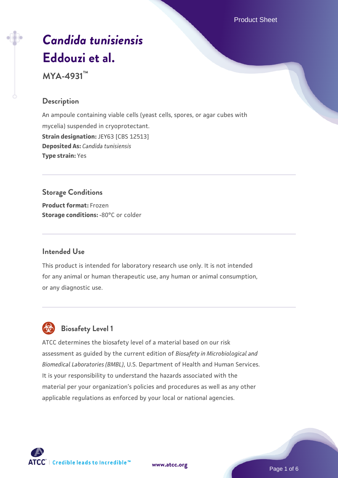Product Sheet

# *[Candida tunisiensis](https://www.atcc.org/products/mya-4931)* **[Eddouzi et al.](https://www.atcc.org/products/mya-4931)**

**MYA-4931™**

#### **Description**

An ampoule containing viable cells (yeast cells, spores, or agar cubes with mycelia) suspended in cryoprotectant. **Strain designation: JEY63 [CBS 12513] Deposited As:** *Candida tunisiensis* **Type strain:** Yes

#### **Storage Conditions**

**Product format:** Frozen **Storage conditions: -80°C** or colder

#### **Intended Use**

This product is intended for laboratory research use only. It is not intended for any animal or human therapeutic use, any human or animal consumption, or any diagnostic use.

# **Biosafety Level 1**

ATCC determines the biosafety level of a material based on our risk assessment as guided by the current edition of *Biosafety in Microbiological and Biomedical Laboratories (BMBL)*, U.S. Department of Health and Human Services. It is your responsibility to understand the hazards associated with the material per your organization's policies and procedures as well as any other applicable regulations as enforced by your local or national agencies.



**[www.atcc.org](http://www.atcc.org)**

Page 1 of 6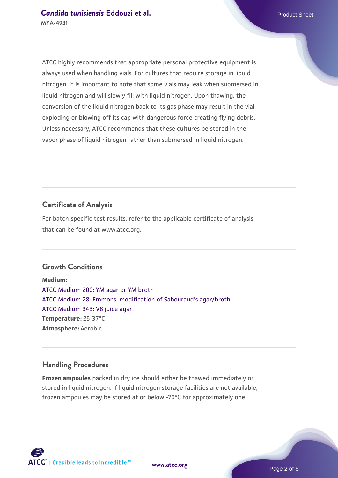ATCC highly recommends that appropriate personal protective equipment is always used when handling vials. For cultures that require storage in liquid nitrogen, it is important to note that some vials may leak when submersed in liquid nitrogen and will slowly fill with liquid nitrogen. Upon thawing, the conversion of the liquid nitrogen back to its gas phase may result in the vial exploding or blowing off its cap with dangerous force creating flying debris. Unless necessary, ATCC recommends that these cultures be stored in the vapor phase of liquid nitrogen rather than submersed in liquid nitrogen.

### **Certificate of Analysis**

For batch-specific test results, refer to the applicable certificate of analysis that can be found at www.atcc.org.

#### **Growth Conditions**

**Medium:**  [ATCC Medium 200: YM agar or YM broth](https://www.atcc.org/-/media/product-assets/documents/microbial-media-formulations/2/0/0/atcc-medium-200.pdf?rev=ac40fd74dc13433a809367b0b9da30fc) [ATCC Medium 28: Emmons' modification of Sabouraud's agar/broth](https://www.atcc.org/-/media/product-assets/documents/microbial-media-formulations/2/8/atcc-medium-28.pdf?rev=0da0c58cc2a343eeae735016b70809bb) [ATCC Medium 343: V8 juice agar](https://www.atcc.org/-/media/product-assets/documents/microbial-media-formulations/3/4/3/atcc-medium-0343.pdf?rev=fbf48fa24e664932828269db1822ab12) **Temperature:** 25-37°C **Atmosphere:** Aerobic

#### **Handling Procedures**

**Frozen ampoules** packed in dry ice should either be thawed immediately or stored in liquid nitrogen. If liquid nitrogen storage facilities are not available, frozen ampoules may be stored at or below -70°C for approximately one





**[www.atcc.org](http://www.atcc.org)**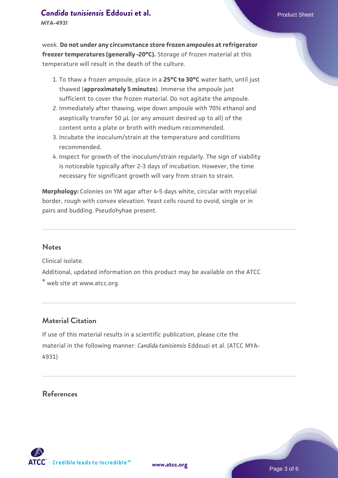#### **[Candida tunisiensis](https://www.atcc.org/products/mya-4931) [Eddouzi et al.](https://www.atcc.org/products/mya-4931)** Product Sheet

**MYA-4931**

week. **Do not under any circumstance store frozen ampoules at refrigerator freezer temperatures (generally -20°C).** Storage of frozen material at this temperature will result in the death of the culture.

- 1. To thaw a frozen ampoule, place in a **25°C to 30°C** water bath, until just thawed (**approximately 5 minutes**). Immerse the ampoule just sufficient to cover the frozen material. Do not agitate the ampoule.
- 2. Immediately after thawing, wipe down ampoule with 70% ethanol and aseptically transfer 50 µL (or any amount desired up to all) of the content onto a plate or broth with medium recommended.
- Incubate the inoculum/strain at the temperature and conditions 3. recommended.
- 4. Inspect for growth of the inoculum/strain regularly. The sign of viability is noticeable typically after 2-3 days of incubation. However, the time necessary for significant growth will vary from strain to strain.

**Morphology:** Colonies on YM agar after 4-5 days white, circular with mycelial border, rough with convex elevation. Yeast cells round to ovoid, single or in pairs and budding. Pseudohyhae present.

#### **Notes**

Clinical isolate.

Additional, updated information on this product may be available on the ATCC ® web site at www.atcc.org.

#### **Material Citation**

If use of this material results in a scientific publication, please cite the material in the following manner: *Candida tunisiensis* Eddouzi et al. (ATCC MYA-4931)

#### **References**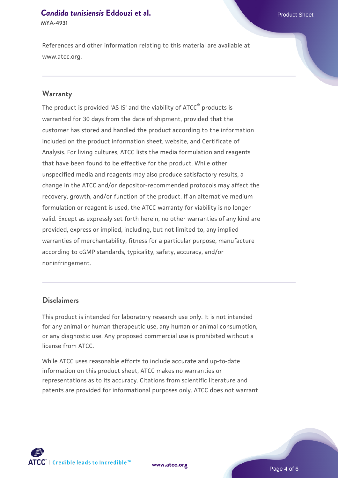#### **[Candida tunisiensis](https://www.atcc.org/products/mya-4931) [Eddouzi et al.](https://www.atcc.org/products/mya-4931)** Product Sheet **MYA-4931**

References and other information relating to this material are available at www.atcc.org.

#### **Warranty**

The product is provided 'AS IS' and the viability of ATCC® products is warranted for 30 days from the date of shipment, provided that the customer has stored and handled the product according to the information included on the product information sheet, website, and Certificate of Analysis. For living cultures, ATCC lists the media formulation and reagents that have been found to be effective for the product. While other unspecified media and reagents may also produce satisfactory results, a change in the ATCC and/or depositor-recommended protocols may affect the recovery, growth, and/or function of the product. If an alternative medium formulation or reagent is used, the ATCC warranty for viability is no longer valid. Except as expressly set forth herein, no other warranties of any kind are provided, express or implied, including, but not limited to, any implied warranties of merchantability, fitness for a particular purpose, manufacture according to cGMP standards, typicality, safety, accuracy, and/or noninfringement.

#### **Disclaimers**

This product is intended for laboratory research use only. It is not intended for any animal or human therapeutic use, any human or animal consumption, or any diagnostic use. Any proposed commercial use is prohibited without a license from ATCC.

While ATCC uses reasonable efforts to include accurate and up-to-date information on this product sheet, ATCC makes no warranties or representations as to its accuracy. Citations from scientific literature and patents are provided for informational purposes only. ATCC does not warrant

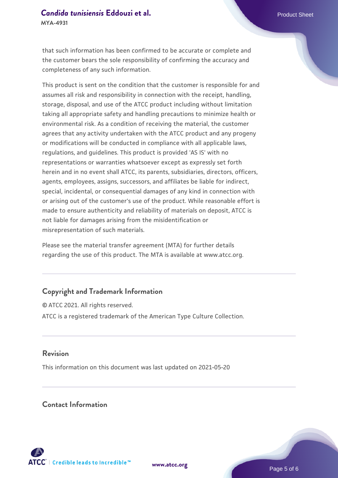# **[Candida tunisiensis](https://www.atcc.org/products/mya-4931) [Eddouzi et al.](https://www.atcc.org/products/mya-4931)** Product Sheet

**MYA-4931**

that such information has been confirmed to be accurate or complete and the customer bears the sole responsibility of confirming the accuracy and completeness of any such information.

This product is sent on the condition that the customer is responsible for and assumes all risk and responsibility in connection with the receipt, handling, storage, disposal, and use of the ATCC product including without limitation taking all appropriate safety and handling precautions to minimize health or environmental risk. As a condition of receiving the material, the customer agrees that any activity undertaken with the ATCC product and any progeny or modifications will be conducted in compliance with all applicable laws, regulations, and guidelines. This product is provided 'AS IS' with no representations or warranties whatsoever except as expressly set forth herein and in no event shall ATCC, its parents, subsidiaries, directors, officers, agents, employees, assigns, successors, and affiliates be liable for indirect, special, incidental, or consequential damages of any kind in connection with or arising out of the customer's use of the product. While reasonable effort is made to ensure authenticity and reliability of materials on deposit, ATCC is not liable for damages arising from the misidentification or misrepresentation of such materials.

Please see the material transfer agreement (MTA) for further details regarding the use of this product. The MTA is available at www.atcc.org.

### **Copyright and Trademark Information**

© ATCC 2021. All rights reserved. ATCC is a registered trademark of the American Type Culture Collection.

#### **Revision**

This information on this document was last updated on 2021-05-20

#### **Contact Information**



**[www.atcc.org](http://www.atcc.org)**